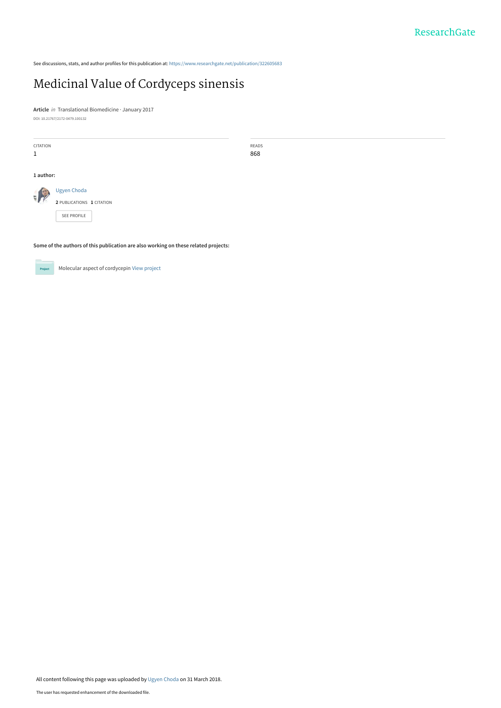See discussions, stats, and author profiles for this publication at: [https://www.researchgate.net/publication/322605683](https://www.researchgate.net/publication/322605683_Medicinal_Value_of_Cordyceps_sinensis?enrichId=rgreq-cc89740b7e9f208bcdfe4a64a56634fe-XXX&enrichSource=Y292ZXJQYWdlOzMyMjYwNTY4MztBUzo2MTAzOTQyNzYxMjI2MjRAMTUyMjU0MDc0NDE2OQ%3D%3D&el=1_x_2&_esc=publicationCoverPdf)

# [Medicinal Value of Cordyceps sinensis](https://www.researchgate.net/publication/322605683_Medicinal_Value_of_Cordyceps_sinensis?enrichId=rgreq-cc89740b7e9f208bcdfe4a64a56634fe-XXX&enrichSource=Y292ZXJQYWdlOzMyMjYwNTY4MztBUzo2MTAzOTQyNzYxMjI2MjRAMTUyMjU0MDc0NDE2OQ%3D%3D&el=1_x_3&_esc=publicationCoverPdf)

**Article** in Translational Biomedicine · January 2017 DOI: 10.21767/2172-0479.100132

| <b>CITATION</b><br>1 |                           | READS<br>868 |
|----------------------|---------------------------|--------------|
| 1 author:            |                           |              |
| $\frac{1}{2}$        | Ugyen Choda               |              |
|                      | 2 PUBLICATIONS 1 CITATION |              |
|                      | SEE PROFILE               |              |
|                      |                           |              |
|                      |                           |              |

**Some of the authors of this publication are also working on these related projects:**



Molecular aspect of cordycepin [View project](https://www.researchgate.net/project/Molecular-aspect-of-cordycepin?enrichId=rgreq-cc89740b7e9f208bcdfe4a64a56634fe-XXX&enrichSource=Y292ZXJQYWdlOzMyMjYwNTY4MztBUzo2MTAzOTQyNzYxMjI2MjRAMTUyMjU0MDc0NDE2OQ%3D%3D&el=1_x_9&_esc=publicationCoverPdf)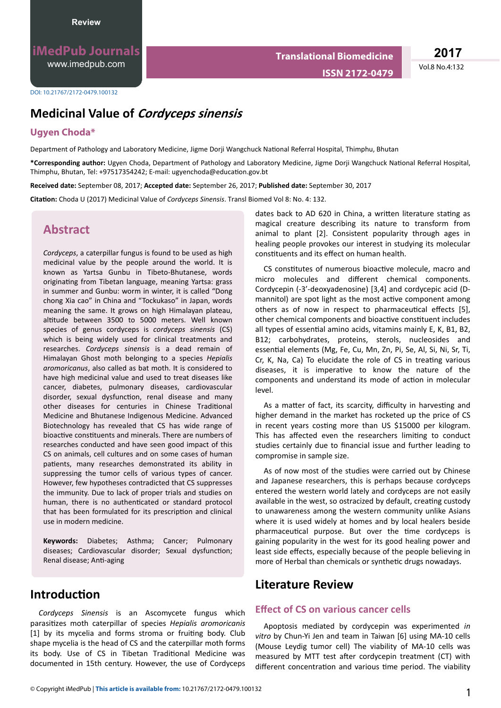**iMedPub Journals** [www.imedpub.com](http://www.imedpub.com/)

DOI: 10.21767/2172-0479.100132

# **Medicinal Value of Cordyceps sinensis**

#### **Ugyen Choda\***

Department of Pathology and Laboratory Medicine, Jigme Dorji Wangchuck National Referral Hospital, Thimphu, Bhutan

\*Corresponding author: Ugyen Choda, Department of Pathology and Laboratory Medicine, Jigme Dorji Wangchuck National Referral Hospital, Thimphu, Bhutan, Tel: +97517354242; E-mail: ugyenchoda@education.gov.bt

**Received date:** September 08, 2017; **Accepted date:** September 26, 2017; **Published date:** September 30, 2017

**Citation:** Choda U (2017) Medicinal Value of *Cordyceps Sinensis*. Transl Biomed Vol 8: No. 4: 132.

### **Abstract**

*Cordyceps*, a caterpillar fungus is found to be used as high medicinal value by the people around the world. It is known as Yartsa Gunbu in Tibeto-Bhutanese, words originating from Tibetan language, meaning Yartsa: grass in summer and Gunbu: worm in winter, it is called "Dong chong Xia cao" in China and "Tockukaso" in Japan, words meaning the same. It grows on high Himalayan plateau, altitude between 3500 to 5000 meters. Well known species of genus cordyceps is *cordyceps sinensis* (CS) which is being widely used for clinical treatments and researches. *Cordyceps sinensis* is a dead remain of Himalayan Ghost moth belonging to a species *Hepialis aromoricanus*, also called as bat moth. It is considered to have high medicinal value and used to treat diseases like cancer, diabetes, pulmonary diseases, cardiovascular disorder, sexual dysfunction, renal disease and many other diseases for centuries in Chinese Traditional Medicine and Bhutanese Indigenous Medicine. Advanced Biotechnology has revealed that CS has wide range of bioactive constituents and minerals. There are numbers of researches conducted and have seen good impact of this CS on animals, cell cultures and on some cases of human patients, many researches demonstrated its ability in suppressing the tumor cells of various types of cancer. However, few hypotheses contradicted that CS suppresses the immunity. Due to lack of proper trials and studies on human, there is no authenticated or standard protocol that has been formulated for its prescription and clinical use in modern medicine.

**Keywords:** Diabetes; Asthma; Cancer; Pulmonary diseases; Cardiovascular disorder; Sexual dysfunction; Renal disease; Anti-aging

## **Introduction**

*Cordyceps Sinensis* is an Ascomycete fungus which parasitizes moth caterpillar of species *Hepialis aromoricanis* [1] by its mycelia and forms stroma or fruiting body. Club shape mycelia is the head of CS and the caterpillar moth forms its body. Use of CS in Tibetan Traditional Medicine was documented in 15th century. However, the use of Cordyceps dates back to AD 620 in China, a written literature stating as magical creature describing its nature to transform from animal to plant [2]. Consistent popularity through ages in healing people provokes our interest in studying its molecular constituents and its effect on human health.

CS constitutes of numerous bioactive molecule, macro and micro molecules and different chemical components. Cordycepin (-3'-deoxyadenosine) [3,4] and cordycepic acid (Dmannitol) are spot light as the most active component among others as of now in respect to pharmaceutical effects [5], other chemical components and bioactive constituent includes all types of essential amino acids, vitamins mainly E, K, B1, B2, B12; carbohydrates, proteins, sterols, nucleosides and essential elements (Mg, Fe, Cu, Mn, Zn, Pi, Se, Al, Si, Ni, Sr, Ti, Cr, K, Na, Ca) To elucidate the role of CS in treating various diseases, it is imperative to know the nature of the components and understand its mode of action in molecular level.

As a matter of fact, its scarcity, difficulty in harvesting and higher demand in the market has rocketed up the price of CS in recent years costing more than US \$15000 per kilogram. This has affected even the researchers limiting to conduct studies certainly due to financial issue and further leading to compromise in sample size.

As of now most of the studies were carried out by Chinese and Japanese researchers, this is perhaps because cordyceps entered the western world lately and cordyceps are not easily available in the west, so ostracized by default, creating custody to unawareness among the western community unlike Asians where it is used widely at homes and by local healers beside pharmaceutical purpose. But over the time cordyceps is gaining popularity in the west for its good healing power and least side effects, especially because of the people believing in more of Herbal than chemicals or synthetic drugs nowadays.

### **Literature Review**

#### *<u>Effect of CS on various cancer cells</u>*

Apoptosis mediated by cordycepin was experimented *in vitro* by Chun-Yi Jen and team in Taiwan [6] using MA-10 cells (Mouse Leydig tumor cell) The viability of MA-10 cells was measured by MTT test after cordycepin treatment (CT) with different concentration and various time period. The viability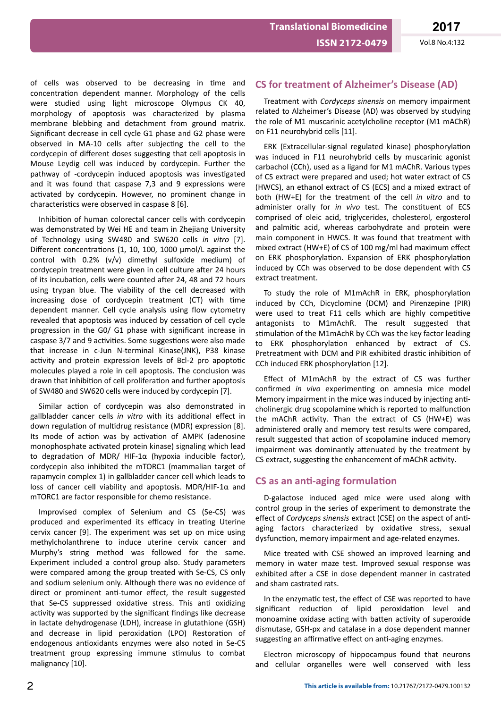**Translational Biomedicine** 

Vol.8 No.4:132

of cells was observed to be decreasing in time and concentration dependent manner. Morphology of the cells were studied using light microscope Olympus CK 40, morphology of apoptosis was characterized by plasma membrane blebbing and detachment from ground matrix. Significant decrease in cell cycle G1 phase and G2 phase were observed in MA-10 cells after subjecting the cell to the cordycepin of different doses suggesting that cell apoptosis in Mouse Leydig cell was induced by cordycepin. Further the pathway of -cordycepin induced apoptosis was investigated and it was found that caspase 7,3 and 9 expressions were activated by cordycepin. However, no prominent change in characteristics were observed in caspase 8 [6].

Inhibition of human colorectal cancer cells with cordycepin was demonstrated by Wei HE and team in Zhejiang University of Technology using SW480 and SW620 cells in vitro [7]. Different concentrations (1, 10, 100, 1000 µmol/L against the control with 0.2% (v/v) dimethyl sulfoxide medium) of cordycepin treatment were given in cell culture after 24 hours of its incubation, cells were counted after 24, 48 and 72 hours using trypan blue. The viability of the cell decreased with increasing dose of cordycepin treatment (CT) with time dependent manner. Cell cycle analysis using flow cytometry revealed that apoptosis was induced by cessation of cell cycle progression in the G0/ G1 phase with significant increase in caspase 3/7 and 9 activities. Some suggestions were also made that increase in c-Jun N-terminal Kinase(JNK), P38 kinase activity and protein expression levels of Bcl-2 pro apoptotic molecules played a role in cell apoptosis. The conclusion was drawn that inhibition of cell proliferation and further apoptosis of SW480 and SW620 cells were induced by cordycepin [7].

Similar action of cordycepin was also demonstrated in gallbladder cancer cells in vitro with its additional effect in down regulation of multidrug resistance (MDR) expression [8]. Its mode of action was by activation of AMPK (adenosine monophosphate activated protein kinase) signaling which lead to degradation of MDR/ HIF-1a (hypoxia inducible factor), cordycepin also inhibited the mTORC1 (mammalian target of rapamycin complex 1) in gallbladder cancer cell which leads to loss of cancer cell viability and apoptosis. MDR/HIF-1 $\alpha$  and mTORC1 are factor responsible for chemo resistance.

Improvised complex of Selenium and CS (Se-CS) was produced and experimented its efficacy in treating Uterine cervix cancer [9]. The experiment was set up on mice using methylcholanthrene to induce uterine cervix cancer and Murphy's string method was followed for the same. Experiment included a control group also. Study parameters were compared among the group treated with Se-CS, CS only and sodium selenium only. Although there was no evidence of direct or prominent anti-tumor effect, the result suggested that Se-CS suppressed oxidative stress. This anti oxidizing activity was supported by the significant findings like decrease in lactate dehydrogenase (LDH), increase in glutathione (GSH) and decrease in lipid peroxidation (LPO) Restoration of endogenous antioxidants enzymes were also noted in Se-CS treatment group expressing immune stimulus to combat malignancy [10].

#### **CS for treatment of Alzheimer's Disease (AD)**

Treatment with Cordyceps sinensis on memory impairment related to Alzheimer's Disease (AD) was observed by studying the role of M1 muscarinic acetylcholine receptor (M1 mAChR) on F11 neurohybrid cells [11].

ERK (Extracellular-signal regulated kinase) phosphorylation was induced in F11 neurohybrid cells by muscarinic agonist carbachol (CCh), used as a ligand for M1 mAChR. Various types of CS extract were prepared and used; hot water extract of CS (HWCS), an ethanol extract of CS (ECS) and a mixed extract of both (HW+E) for the treatment of the cell in vitro and to administer orally for in vivo test. The constituent of ECS comprised of oleic acid, triglycerides, cholesterol, ergosterol and palmitic acid, whereas carbohydrate and protein were main component in HWCS. It was found that treatment with mixed extract (HW+E) of CS of 100 mg/ml had maximum effect on ERK phosphorylation. Expansion of ERK phosphorylation induced by CCh was observed to be dose dependent with CS extract treatment.

To study the role of M1mAchR in ERK, phosphorylation induced by CCh, Dicyclomine (DCM) and Pirenzepine (PIR) were used to treat F11 cells which are highly competitive antagonists to M1mAchR. The result suggested that stimulation of the M1mAchR by CCh was the key factor leading to ERK phosphorylation enhanced by extract of CS. Pretreatment with DCM and PIR exhibited drastic inhibition of CCh induced ERK phosphorylation [12].

Effect of M1mAchR by the extract of CS was further confirmed in vivo experimenting on amnesia mice model Memory impairment in the mice was induced by injecting anticholinergic drug scopolamine which is reported to malfunction the mAChR activity. Than the extract of CS (HW+E) was administered orally and memory test results were compared, result suggested that action of scopolamine induced memory impairment was dominantly attenuated by the treatment by CS extract, suggesting the enhancement of mAChR activity.

#### CS as an anti-aging formulation

D-galactose induced aged mice were used along with control group in the series of experiment to demonstrate the effect of Cordyceps sinensis extract (CSE) on the aspect of antiaging factors characterized by oxidative stress, sexual dysfunction, memory impairment and age-related enzymes.

Mice treated with CSE showed an improved learning and memory in water maze test. Improved sexual response was exhibited after a CSE in dose dependent manner in castrated and sham castrated rats.

In the enzymatic test, the effect of CSE was reported to have significant reduction of lipid peroxidation level and monoamine oxidase acting with batten activity of superoxide dismutase, GSH-px and catalase in a dose dependent manner suggesting an affirmative effect on anti-aging enzymes.

Electron microscopy of hippocampus found that neurons and cellular organelles were well conserved with less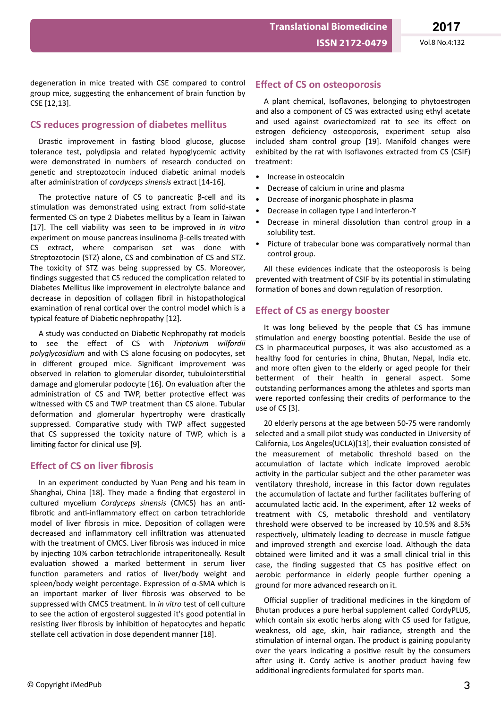degeneration in mice treated with CSE compared to control group mice, suggesting the enhancement of brain function by CSE [12,13].

#### CS reduces progression of diabetes mellitus

Drastic improvement in fasting blood glucose, glucose tolerance test, polydipsia and related hypoglycemic activity were demonstrated in numbers of research conducted on genetic and streptozotocin induced diabetic animal models after administration of cordyceps sinensis extract [14-16].

The protective nature of CS to pancreatic  $\beta$ -cell and its stimulation was demonstrated using extract from solid-state fermented CS on type 2 Diabetes mellitus by a Team in Taiwan [17]. The cell viability was seen to be improved in in vitro experiment on mouse pancreas insulinoma  $\beta$ -cells treated with CS extract, where comparison set was done with Streptozotocin (STZ) alone, CS and combination of CS and STZ. The toxicity of STZ was being suppressed by CS. Moreover, findings suggested that CS reduced the complication related to Diabetes Mellitus like improvement in electrolyte balance and decrease in deposition of collagen fibril in histopathological examination of renal cortical over the control model which is a typical feature of Diabetic nephropathy [12].

A study was conducted on Diabetic Nephropathy rat models to see the effect of CS with Triptorium wilfordii polyglycosidium and with CS alone focusing on podocytes, set in different grouped mice. Significant improvement was observed in relation to glomerular disorder, tubulointerstitial damage and glomerular podocyte [16]. On evaluation after the administration of CS and TWP, better protective effect was witnessed with CS and TWP treatment than CS alone. Tubular deformation and glomerular hypertrophy were drastically suppressed. Comparative study with TWP affect suggested that CS suppressed the toxicity nature of TWP, which is a limiting factor for clinical use [9].

#### **Effect of CS on liver fibrosis**

In an experiment conducted by Yuan Peng and his team in Shanghai, China [18]. They made a finding that ergosterol in cultured mycelium Cordyceps sinensis (CMCS) has an antifibrotic and anti-inflammatory effect on carbon tetrachloride model of liver fibrosis in mice. Deposition of collagen were decreased and inflammatory cell infiltration was attenuated with the treatment of CMCS. Liver fibrosis was induced in mice by injecting 10% carbon tetrachloride intraperitoneally. Result evaluation showed a marked betterment in serum liver function parameters and ratios of liver/body weight and spleen/body weight percentage. Expression of  $\alpha$ -SMA which is an important marker of liver fibrosis was observed to be suppressed with CMCS treatment. In in vitro test of cell culture to see the action of ergosterol suggested it's good potential in resisting liver fibrosis by inhibition of hepatocytes and hepatic stellate cell activation in dose dependent manner [18].

#### **Effect of CS on osteoporosis**

A plant chemical, Isoflavones, belonging to phytoestrogen and also a component of CS was extracted using ethyl acetate and used against ovariectomized rat to see its effect on estrogen deficiency osteoporosis, experiment setup also included sham control group [19]. Manifold changes were exhibited by the rat with Isoflavones extracted from CS (CSIF) treatment:

- Increase in osteocalcin
- Decrease of calcium in urine and plasma
- Decrease of inorganic phosphate in plasma  $\bullet$
- $\bullet$ Decrease in collagen type I and interferon-Y
- Decrease in mineral dissolution than control group in a solubility test.
- Picture of trabecular bone was comparatively normal than control group.

All these evidences indicate that the osteoporosis is being prevented with treatment of CSIF by its potential in stimulating formation of bones and down regulation of resorption.

#### **Effect of CS as energy booster**

It was long believed by the people that CS has immune stimulation and energy boosting potential. Beside the use of CS in pharmaceutical purposes, it was also accustomed as a healthy food for centuries in china, Bhutan, Nepal, India etc. and more often given to the elderly or aged people for their betterment of their health in general aspect. Some outstanding performances among the athletes and sports man were reported confessing their credits of performance to the use of CS [3].

20 elderly persons at the age between 50-75 were randomly selected and a small pilot study was conducted in University of California, Los Angeles(UCLA)[13], their evaluation consisted of the measurement of metabolic threshold based on the accumulation of lactate which indicate improved aerobic activity in the particular subject and the other parameter was ventilatory threshold, increase in this factor down regulates the accumulation of lactate and further facilitates buffering of accumulated lactic acid. In the experiment, after 12 weeks of treatment with CS, metabolic threshold and ventilatory threshold were observed to be increased by 10.5% and 8.5% respectively, ultimately leading to decrease in muscle fatigue and improved strength and exercise load. Although the data obtained were limited and it was a small clinical trial in this case, the finding suggested that CS has positive effect on aerobic performance in elderly people further opening a ground for more advanced research on it.

Official supplier of traditional medicines in the kingdom of Bhutan produces a pure herbal supplement called CordyPLUS, which contain six exotic herbs along with CS used for fatigue, weakness, old age, skin, hair radiance, strength and the stimulation of internal organ. The product is gaining popularity over the years indicating a positive result by the consumers after using it. Cordy active is another product having few additional ingredients formulated for sports man.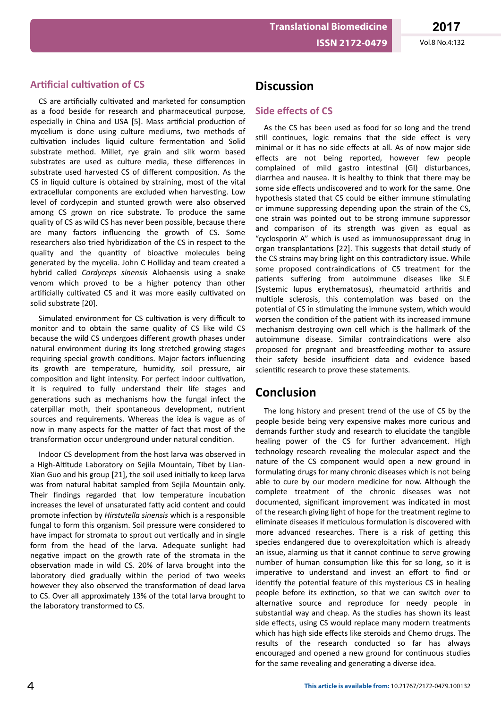### **Artificial cultivation of CS**

CS are artificially cultivated and marketed for consumption as a food beside for research and pharmaceutical purpose, especially in China and USA [5]. Mass artificial production of mycelium is done using culture mediums, two methods of cultivation includes liquid culture fermentation and Solid substrate method. Millet, rye grain and silk worm based substrates are used as culture media, these differences in substrate used harvested CS of different composition. As the CS in liquid culture is obtained by straining, most of the vital extracellular components are excluded when harvesting. Low level of cordycepin and stunted growth were also observed among CS grown on rice substrate. To produce the same quality of CS as wild CS has never been possible, because there are many factors influencing the growth of CS. Some researchers also tried hybridization of the CS in respect to the quality and the quantity of bioactive molecules being generated by the mycelia. John C Holliday and team created a hybrid called *Cordyceps sinensis* Alohaensis using a snake venom which proved to be a higher potency than other artificially cultivated CS and it was more easily cultivated on solid substrate [20].

Simulated environment for CS cultivation is very difficult to monitor and to obtain the same quality of CS like wild CS because the wild CS undergoes different growth phases under natural environment during its long stretched growing stages requiring special growth conditions. Major factors influencing its growth are temperature, humidity, soil pressure, air composition and light intensity. For perfect indoor cultivation, it is required to fully understand their life stages and generations such as mechanisms how the fungal infect the caterpillar moth, their spontaneous development, nutrient sources and requirements. Whereas the idea is vague as of now in many aspects for the matter of fact that most of the transformation occur underground under natural condition.

Indoor CS development from the host larva was observed in a High-Altitude Laboratory on Sejila Mountain, Tibet by Lian-Xian Guo and his group [21], the soil used initially to keep larva was from natural habitat sampled from Sejila Mountain only. Their findings regarded that low temperature incubation increases the level of unsaturated fatty acid content and could promote infection by *Hirstutella sinensis* which is a responsible fungal to form this organism. Soil pressure were considered to have impact for stromata to sprout out vertically and in single form from the head of the larva. Adequate sunlight had negative impact on the growth rate of the stromata in the observation made in wild CS. 20% of larva brought into the laboratory died gradually within the period of two weeks however they also observed the transformation of dead larva to CS. Over all approximately 13% of the total larva brought to the laboratory transformed to CS.

### **Discussion**

#### **Side ĞīĞcƚƐ of CS**

As the CS has been used as food for so long and the trend still continues, logic remains that the side effect is very minimal or it has no side effects at all. As of now major side effects are not being reported, however few people complained of mild gastro intestinal (GI) disturbances, diarrhea and nausea. It is healthy to think that there may be some side effects undiscovered and to work for the same. One hypothesis stated that CS could be either immune stimulating or immune suppressing depending upon the strain of the CS, one strain was pointed out to be strong immune suppressor and comparison of its strength was given as equal as "cyclosporin A" which is used as immunosuppressant drug in organ transplantations [22]. This suggests that detail study of the CS strains may bring light on this contradictory issue. While some proposed contraindications of CS treatment for the patients suffering from autoimmune diseases like SLE (Systemic lupus erythematosus), rheumatoid arthritis and multiple sclerosis, this contemplation was based on the potential of CS in stimulating the immune system, which would worsen the condition of the patient with its increased immune mechanism destroying own cell which is the hallmark of the autoimmune disease. Similar contraindications were also proposed for pregnant and breastfeeding mother to assure their safety beside insufficient data and evidence based scientific research to prove these statements.

# **Conclusion**

The long history and present trend of the use of CS by the people beside being very expensive makes more curious and demands further study and research to elucidate the tangible healing power of the CS for further advancement. High technology research revealing the molecular aspect and the nature of the CS component would open a new ground in formulating drugs for many chronic diseases which is not being able to cure by our modern medicine for now. Although the complete treatment of the chronic diseases was not documented, significant improvement was indicated in most of the research giving light of hope for the treatment regime to eliminate diseases if meticulous formulation is discovered with more advanced researches. There is a risk of getting this species endangered due to overexploitation which is already an issue, alarming us that it cannot continue to serve growing number of human consumption like this for so long, so it is imperative to understand and invest an effort to find or identify the potential feature of this mysterious CS in healing people before its extinction, so that we can switch over to alternative source and reproduce for needy people in substantial way and cheap. As the studies has shown its least side effects, using CS would replace many modern treatments which has high side effects like steroids and Chemo drugs. The results of the research conducted so far has always encouraged and opened a new ground for continuous studies for the same revealing and generating a diverse idea.